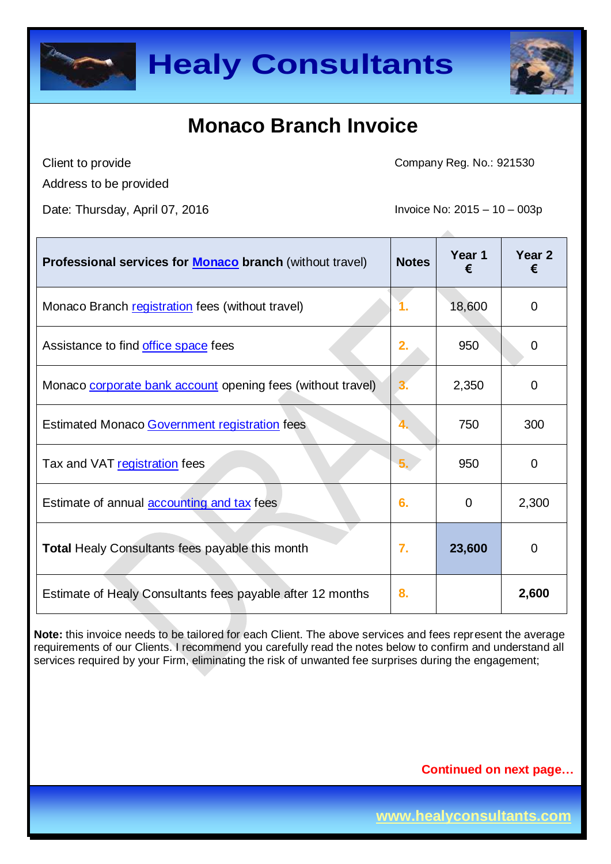



Client to provide

Address to be provided

Date: Thursday, April 07, 2016 **Invoice No: 2015** – 10 – 003p

Company Reg. No.: 921530

| Professional services for <b>Monaco</b> branch (without travel) | <b>Notes</b> | Year 1<br>€ | Year <sub>2</sub><br>€ |
|-----------------------------------------------------------------|--------------|-------------|------------------------|
| Monaco Branch registration fees (without travel)                | 1.           | 18,600      | 0                      |
| Assistance to find office space fees                            | 2.           | 950         | 0                      |
| Monaco corporate bank account opening fees (without travel)     |              | 2,350       | 0                      |
| Estimated Monaco Government registration fees                   | 4.           | 750         | 300                    |
| Tax and VAT registration fees                                   | 5.           | 950         | 0                      |
| Estimate of annual <b>accounting and tax</b> fees               | 6.           | $\Omega$    | 2,300                  |
| <b>Total Healy Consultants fees payable this month</b>          | 7.           | 23,600      | $\mathbf 0$            |
| Estimate of Healy Consultants fees payable after 12 months      | 8.           |             | 2,600                  |

**Note:** this invoice needs to be tailored for each Client. The above services and fees represent the average requirements of our Clients. I recommend you carefully read the notes below to confirm and understand all services required by your Firm, eliminating the risk of unwanted fee surprises during the engagement;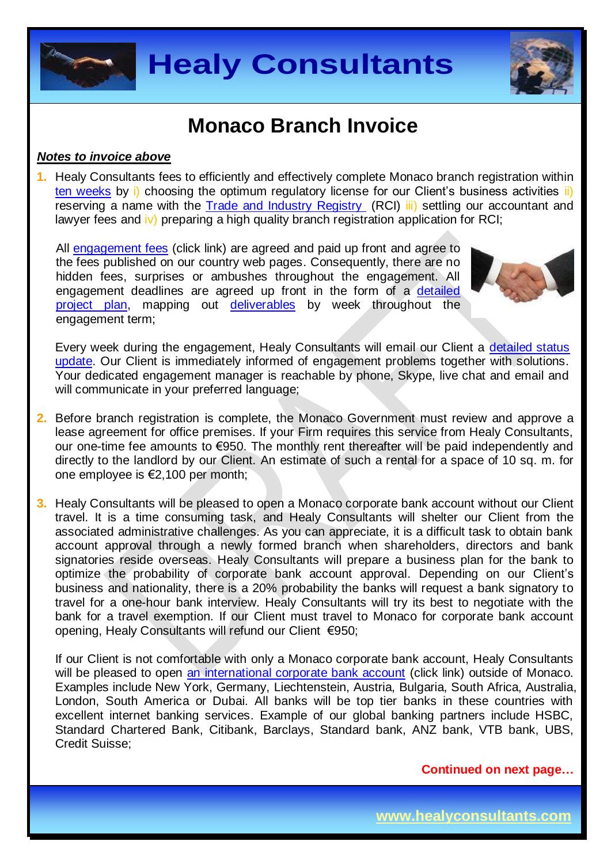



#### *Notes to invoice above*

**1.** Healy Consultants fees to efficiently and effectively complete Monaco branch registration within [ten weeks](http://www.healyconsultants.com/monaco-company-registration/fees-timelines/#timelines) by i) choosing the optimum regulatory license for our Client's business activities ii) reserving a name with the [Trade and Industry Registry](http://en.service-public-entreprises.gouv.mc/Conducting-business/Changes-to-business-activities/Trade-registry/How-to-register-a-branch-office-on-the-RCI) (RCI) iii) settling our accountant and lawyer fees and iv) preparing a high quality branch registration application for RCI;

All [engagement fees](http://www.healyconsultants.com/company-registration-fees/) (click link) are agreed and paid up front and agree to the fees published on our country web pages. Consequently, there are no hidden fees, surprises or ambushes throughout the engagement. All engagement deadlines are agreed up front in the form of a [detailed](http://www.healyconsultants.com/index-important-links/example-project-plan/)  [project plan,](http://www.healyconsultants.com/index-important-links/example-project-plan/) mapping out [deliverables](http://www.healyconsultants.com/deliverables-to-our-clients/) by week throughout the engagement term;



Every week during the engagement, Healy Consultants will email our Client a detailed status [update.](http://www.healyconsultants.com/index-important-links/weekly-engagement-status-email/) Our Client is immediately informed of engagement problems together with solutions. Your dedicated engagement manager is reachable by phone, Skype, live chat and email and will communicate in your preferred language;

- **2.** Before branch registration is complete, the Monaco Government must review and approve a lease agreement for office premises. If your Firm requires this service from Healy Consultants, our one-time fee amounts to €950. The monthly rent thereafter will be paid independently and directly to the landlord by our Client. An estimate of such a rental for a space of 10 sq. m. for one employee is €2,100 per month;
- **3.** Healy Consultants will be pleased to open a Monaco corporate bank account without our Client travel. It is a time consuming task, and Healy Consultants will shelter our Client from the associated administrative challenges. As you can appreciate, it is a difficult task to obtain bank account approval through a newly formed branch when shareholders, directors and bank signatories reside overseas. Healy Consultants will prepare a business plan for the bank to optimize the probability of corporate bank account approval. Depending on our Client's business and nationality, there is a 20% probability the banks will request a bank signatory to travel for a one-hour bank interview. Healy Consultants will try its best to negotiate with the bank for a travel exemption. If our Client must travel to Monaco for corporate bank account opening, Healy Consultants will refund our Client €950;

If our Client is not comfortable with only a Monaco corporate bank account, Healy Consultants will be pleased to open [an international corporate bank account](http://www.healyconsultants.com/international-banking/) (click link) outside of Monaco. Examples include New York, Germany, Liechtenstein, Austria, Bulgaria, South Africa, Australia, London, South America or Dubai. All banks will be top tier banks in these countries with excellent internet banking services. Example of our global banking partners include HSBC, Standard Chartered Bank, Citibank, Barclays, Standard bank, ANZ bank, VTB bank, UBS, Credit Suisse;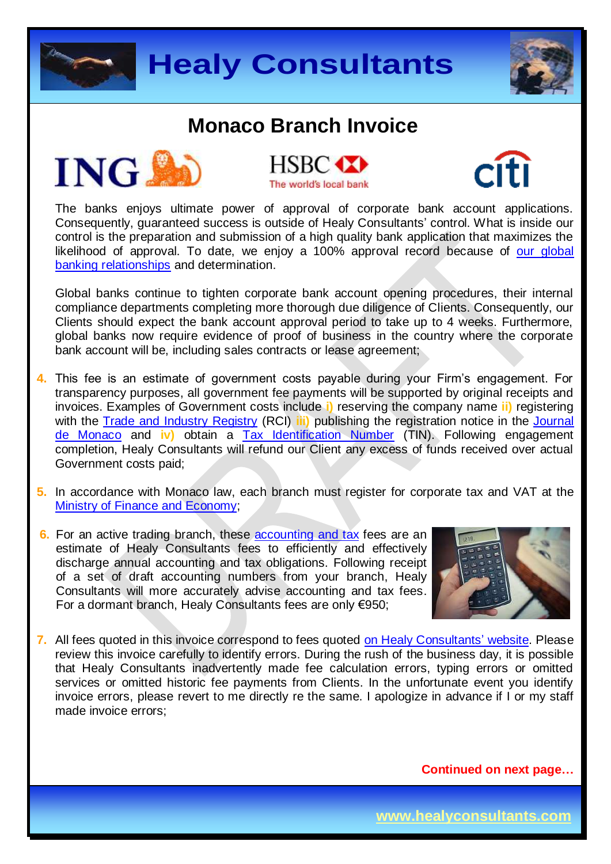









The banks enjoys ultimate power of approval of corporate bank account applications. Consequently, guaranteed success is outside of Healy Consultants' control. What is inside our control is the preparation and submission of a high quality bank application that maximizes the likelihood of approval. To date, we enjoy a 100% approval record because of our global [banking relationships](http://www.healyconsultants.com/international-banking/corporate-accounts/) and determination.

Global banks continue to tighten corporate bank account opening procedures, their internal compliance departments completing more thorough due diligence of Clients. Consequently, our Clients should expect the bank account approval period to take up to 4 weeks. Furthermore, global banks now require evidence of proof of business in the country where the corporate bank account will be, including sales contracts or lease agreement;

- **4.** This fee is an estimate of government costs payable during your Firm's engagement. For transparency purposes, all government fee payments will be supported by original receipts and invoices. Examples of Government costs include **i)** reserving the company name **ii)** registering with the [Trade and Industry Registry](http://en.service-public-entreprises.gouv.mc/Conducting-business/Changes-to-business-activities/Trade-registry/How-to-register-a-branch-office-on-the-RCI) (RCI) **iii)** publishing the registration notice in the [Journal](http://en.gouv.mc/Government-Institutions/Law-and-Legislation/Journal-de-Monaco)  [de Monaco](http://en.gouv.mc/Government-Institutions/Law-and-Legislation/Journal-de-Monaco) and **iv)** obtain a [Tax Identification Number](http://en.gouv.mc/Government-Institutions/The-Government/Ministry-of-Finance-and-Economy/Department-of-Tax-Services) (TIN). Following engagement completion, Healy Consultants will refund our Client any excess of funds received over actual Government costs paid;
- **5.** In accordance with Monaco law, each branch must register for corporate tax and VAT at the [Ministry of Finance and Economy;](http://en.gouv.mc/Government-Institutions/The-Government/Ministry-of-Finance-and-Economy/The-Minister-of-Finance-and-Economy)
- **6.** For an active trading branch, these [accounting and tax](http://www.healyconsultants.com/monaco-company-registration/accounting-legal/) fees are an estimate of Healy Consultants fees to efficiently and effectively discharge annual accounting and tax obligations. Following receipt of a set of draft accounting numbers from your branch, Healy Consultants will more accurately advise accounting and tax fees. For a dormant branch, Healy Consultants fees are only €950;



**7.** All fees quoted in this invoice correspond to fees quoted [on Healy Consultants' website.](http://www.healyconsultants.com/company-registration-fees/) Please review this invoice carefully to identify errors. During the rush of the business day, it is possible that Healy Consultants inadvertently made fee calculation errors, typing errors or omitted services or omitted historic fee payments from Clients. In the unfortunate event you identify invoice errors, please revert to me directly re the same. I apologize in advance if I or my staff made invoice errors;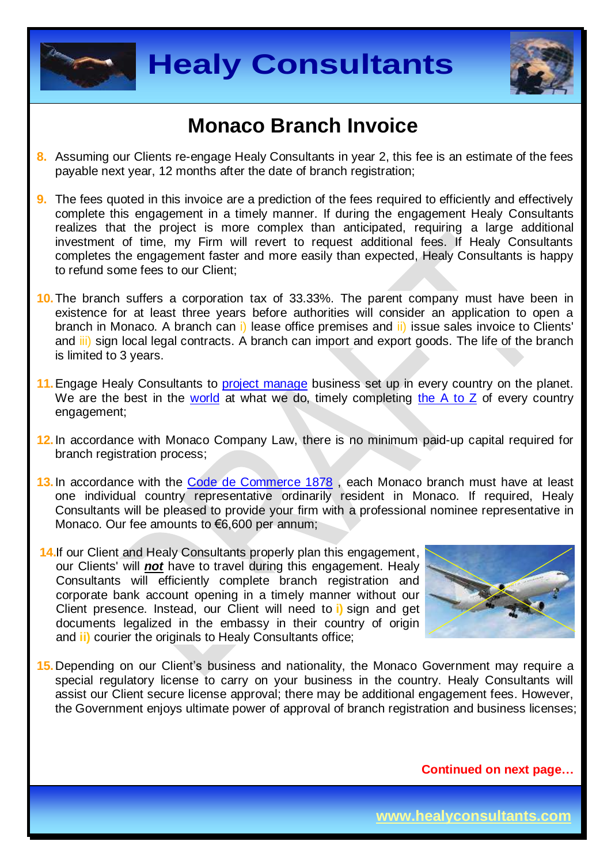



- **8.** Assuming our Clients re-engage Healy Consultants in year 2, this fee is an estimate of the fees payable next year, 12 months after the date of branch registration;
- **9.** The fees quoted in this invoice are a prediction of the fees required to efficiently and effectively complete this engagement in a timely manner. If during the engagement Healy Consultants realizes that the project is more complex than anticipated, requiring a large additional investment of time, my Firm will revert to request additional fees. If Healy Consultants completes the engagement faster and more easily than expected, Healy Consultants is happy to refund some fees to our Client;
- **10.**The branch suffers a corporation tax of 33.33%. The parent company must have been in existence for at least three years before authorities will consider an application to open a branch in Monaco. A branch can i) lease office premises and ii) issue sales invoice to Clients' and iii) sign local legal contracts. A branch can import and export goods. The life of the branch is limited to 3 years.
- 11. Engage Healy Consultants to [project manage](http://www.healyconsultants.com/project-manage-engagements/) business set up in every country on the planet. We are the best in the [world](http://www.healyconsultants.com/best-in-the-world/) at what we do, timely completing the  $A$  to  $Z$  of every country engagement;
- **12.** In accordance with Monaco Company Law, there is no minimum paid-up capital required for branch registration process;
- 13. In accordance with the Code de Commerce 1878, each Monaco branch must have at least one individual country representative ordinarily resident in Monaco. If required, Healy Consultants will be pleased to provide your firm with a professional nominee representative in Monaco. Our fee amounts to €6,600 per annum;
- **14.** If our Client and Healy Consultants properly plan this engagement, our Clients' will *not* have to travel during this engagement. Healy Consultants will efficiently complete branch registration and corporate bank account opening in a timely manner without our Client presence. Instead, our Client will need to **i)** sign and get documents legalized in the embassy in their country of origin and **ii)** courier the originals to Healy Consultants office;



**15.** Depending on our Client's business and nationality, the Monaco Government may require a special regulatory license to carry on your business in the country. Healy Consultants will assist our Client secure license approval; there may be additional engagement fees. However, the Government enjoys ultimate power of approval of branch registration and business licenses;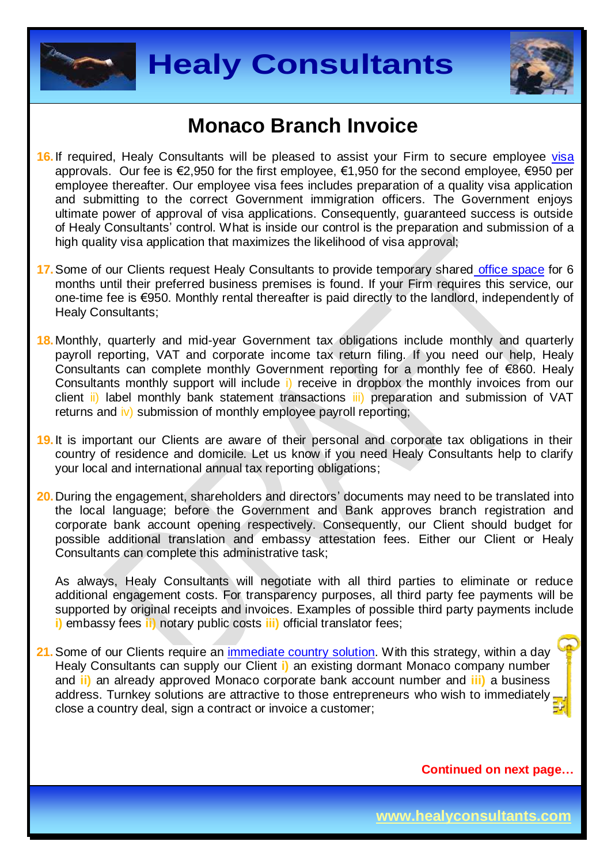



- **16.** If required, Healy Consultants will be pleased to assist your Firm to secure employee visa approvals. Our fee is €2,950 for the first employee, €1,950 for the second employee, €950 per employee thereafter. Our employee visa fees includes preparation of a quality visa application and submitting to the correct Government immigration officers. The Government enjoys ultimate power of approval of visa applications. Consequently, guaranteed success is outside of Healy Consultants' control. What is inside our control is the preparation and submission of a high quality visa application that maximizes the likelihood of visa approval;
- **17.** Some of our Clients request Healy Consultants to provide temporary share[d office space](http://www.healyconsultants.com/virtual-office/) for 6 months until their preferred business premises is found. If your Firm requires this service, our one-time fee is €950. Monthly rental thereafter is paid directly to the landlord, independently of Healy Consultants;
- **18.** Monthly, quarterly and mid-year Government tax obligations include monthly and quarterly payroll reporting, VAT and corporate income tax return filing. If you need our help, Healy Consultants can complete monthly Government reporting for a monthly fee of €860. Healy Consultants monthly support will include i) receive in dropbox the monthly invoices from our client ii) label monthly bank statement transactions iii) preparation and submission of VAT returns and iv) submission of monthly employee payroll reporting;
- **19.** It is important our Clients are aware of their personal and corporate tax obligations in their country of residence and domicile. Let us know if you need Healy Consultants help to clarify your local and international annual tax reporting obligations;
- **20.** During the engagement, shareholders and directors' documents may need to be translated into the local language; before the Government and Bank approves branch registration and corporate bank account opening respectively. Consequently, our Client should budget for possible additional translation and embassy attestation fees. Either our Client or Healy Consultants can complete this administrative task;

As always, Healy Consultants will negotiate with all third parties to eliminate or reduce additional engagement costs. For transparency purposes, all third party fee payments will be supported by original receipts and invoices. Examples of possible third party payments include **i)** embassy fees **ii)** notary public costs **iii)** official translator fees;

**21.** Some of our Clients require an [immediate country solution.](http://www.healyconsultants.com/turnkey-solutions/) With this strategy, within a day Healy Consultants can supply our Client **i)** an existing dormant Monaco company number and **ii)** an already approved Monaco corporate bank account number and **iii)** a business address. Turnkey solutions are attractive to those entrepreneurs who wish to immediately close a country deal, sign a contract or invoice a customer;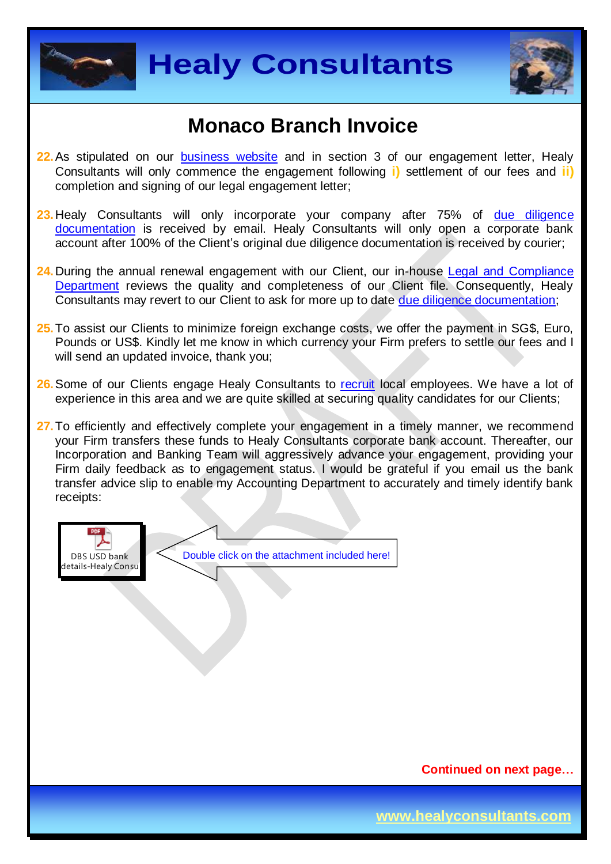



- **22.** As stipulated on our [business website](http://www.healyconsultants.com/) and in section 3 of our engagement letter, Healy Consultants will only commence the engagement following **i)** settlement of our fees and **ii)** completion and signing of our legal engagement letter;
- 23. Healy Consultants will only incorporate your company after 75% of due diligence [documentation](http://www.healyconsultants.com/due-diligence/) is received by email. Healy Consultants will only open a corporate bank account after 100% of the Client's original due diligence documentation is received by courier;
- 24. During the annual renewal engagement with our Client, our in-house Legal and Compliance [Department](http://www.healyconsultants.com/about-us/key-personnel/cai-xin-profile/) reviews the quality and completeness of our Client file. Consequently, Healy Consultants may revert to our Client to ask for more up to date [due diligence documentation;](http://www.healyconsultants.com/due-diligence/)
- **25.** To assist our Clients to minimize foreign exchange costs, we offer the payment in SG\$, Euro, Pounds or US\$. Kindly let me know in which currency your Firm prefers to settle our fees and I will send an updated invoice, thank you;
- **26.** Some of our Clients engage Healy Consultants to [recruit](http://www.healyconsultants.com/corporate-outsourcing-services/how-we-help-our-clients-recruit-quality-employees/) local employees. We have a lot of experience in this area and we are quite skilled at securing quality candidates for our Clients;
- 27. To efficiently and effectively complete your engagement in a timely manner, we recommend your Firm transfers these funds to Healy Consultants corporate bank account. Thereafter, our Incorporation and Banking Team will aggressively advance your engagement, providing your Firm daily feedback as to engagement status. I would be grateful if you email us the bank transfer advice slip to enable my Accounting Department to accurately and timely identify bank receipts:



**Continued on next page…**

**www.healyconsultants.com**